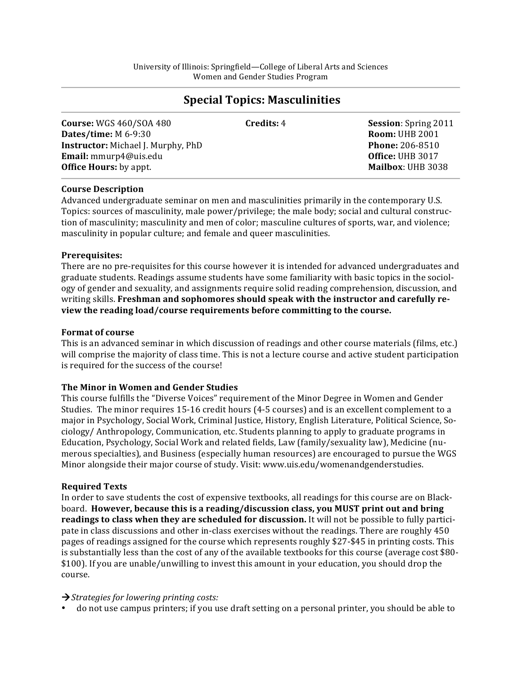# **Special Topics: Masculinities**

| <b>Course: WGS 460/SOA 480</b><br>Dates/time: M 6-9:30<br><b>Instructor:</b> Michael J. Murphy, PhD | <b>Credits: 4</b> | <b>Session:</b> Spring 2011<br><b>Room: UHB 2001</b><br><b>Phone: 206-8510</b> |
|-----------------------------------------------------------------------------------------------------|-------------------|--------------------------------------------------------------------------------|
| <b>Email:</b> mmurp4@uis.edu<br><b>Office Hours:</b> by appt.                                       |                   | Office: UHB 3017<br>Mailbox: UHB 3038                                          |

## **Course!Description**

Advanced undergraduate seminar on men and masculinities primarily in the contemporary U.S. Topics: sources of masculinity, male power/privilege; the male body; social and cultural construction of masculinity; masculinity and men of color; masculine cultures of sports, war, and violence; masculinity in popular culture; and female and queer masculinities.

## **Prerequisites:!**

There are no pre-requisites for this course however it is intended for advanced undergraduates and graduate students. Readings assume students have some familiarity with basic topics in the sociology of gender and sexuality, and assignments require solid reading comprehension, discussion, and writing skills. **Freshman and sophomores should speak with the instructor and carefully re**view the reading load/course requirements before committing to the course.

## **Format of course**

This is an advanced seminar in which discussion of readings and other course materials (films, etc.) will comprise the majority of class time. This is not a lecture course and active student participation is required for the success of the course!

## **The Minor in Women and Gender Studies**

This course fulfills the "Diverse Voices" requirement of the Minor Degree in Women and Gender Studies. The minor requires 15-16 credit hours (4-5 courses) and is an excellent complement to a major in Psychology, Social Work, Criminal Justice, History, English Literature, Political Science, Sociology/ Anthropology, Communication, etc. Students planning to apply to graduate programs in Education, Psychology, Social Work and related fields, Law (family/sexuality law), Medicine (numerous specialties), and Business (especially human resources) are encouraged to pursue the WGS Minor alongside their major course of study. Visit: www.uis.edu/womenandgenderstudies.

## **Required!Texts**

In order to save students the cost of expensive textbooks, all readings for this course are on Blackboard. **However, because this is a reading/discussion class, you MUST print out and bring readings to class when they are scheduled for discussion.** It will not be possible to fully participate in class discussions and other in-class exercises without the readings. There are roughly 450 pages of readings assigned for the course which represents roughly \$27-\$45 in printing costs. This is substantially less than the cost of any of the available textbooks for this course (average cost \$80-\$100). If you are unable/unwilling to invest this amount in your education, you should drop the course.

## → *Strategies for lowering printing costs:*

• do not use campus printers; if you use draft setting on a personal printer, you should be able to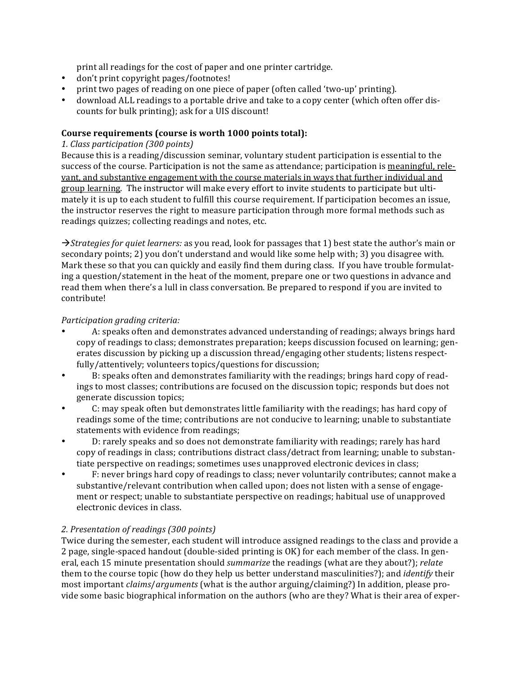print all readings for the cost of paper and one printer cartridge.

- don't print copyright pages/footnotes!
- print two pages of reading on one piece of paper (often called 'two-up' printing).
- download ALL readings to a portable drive and take to a copy center (which often offer discounts for bulk printing); ask for a UIS discount!

## **Course requirements (course is worth 1000 points total):**

## *1.)Class)participation)(300)points)*

Because this is a reading/discussion seminar, voluntary student participation is essential to the success of the course. Participation is not the same as attendance; participation is meaningful, releyant, and substantive engagement with the course materials in ways that further individual and group learning. The instructor will make every effort to invite students to participate but ultimately it is up to each student to fulfill this course requirement. If participation becomes an issue, the instructor reserves the right to measure participation through more formal methods such as readings quizzes; collecting readings and notes, etc.

 $\rightarrow$ Strategies for quiet learners: as you read, look for passages that 1) best state the author's main or secondary points; 2) you don't understand and would like some help with; 3) you disagree with. Mark these so that you can quickly and easily find them during class. If you have trouble formulating a question/statement in the heat of the moment, prepare one or two questions in advance and read them when there's a lull in class conversation. Be prepared to respond if you are invited to contribute!

## *Participation grading criteria:*

- A: speaks often and demonstrates advanced understanding of readings; always brings hard copy of readings to class; demonstrates preparation; keeps discussion focused on learning; generates discussion by picking up a discussion thread/engaging other students; listens respectfully/attentively; volunteers topics/questions for discussion;
- B: speaks often and demonstrates familiarity with the readings; brings hard copy of readings to most classes; contributions are focused on the discussion topic; responds but does not generate discussion topics;
- C: may speak often but demonstrates little familiarity with the readings; has hard copy of readings some of the time; contributions are not conducive to learning; unable to substantiate statements with evidence from readings;
- D: rarely speaks and so does not demonstrate familiarity with readings; rarely has hard copy of readings in class; contributions distract class/detract from learning; unable to substantiate perspective on readings; sometimes uses unapproved electronic devices in class;
- F: never brings hard copy of readings to class; never voluntarily contributes; cannot make a substantive/relevant contribution when called upon; does not listen with a sense of engagement or respect; unable to substantiate perspective on readings; habitual use of unapproved electronic devices in class.

## 2. Presentation of readings (300 points)

Twice during the semester, each student will introduce assigned readings to the class and provide a 2 page, single-spaced handout (double-sided printing is OK) for each member of the class. In general, each 15 minute presentation should *summarize* the readings (what are they about?); *relate* them to the course topic (how do they help us better understand masculinities?); and *identify* their most important *claims/arguments* (what is the author arguing/claiming?) In addition, please provide some basic biographical information on the authors (who are they? What is their area of exper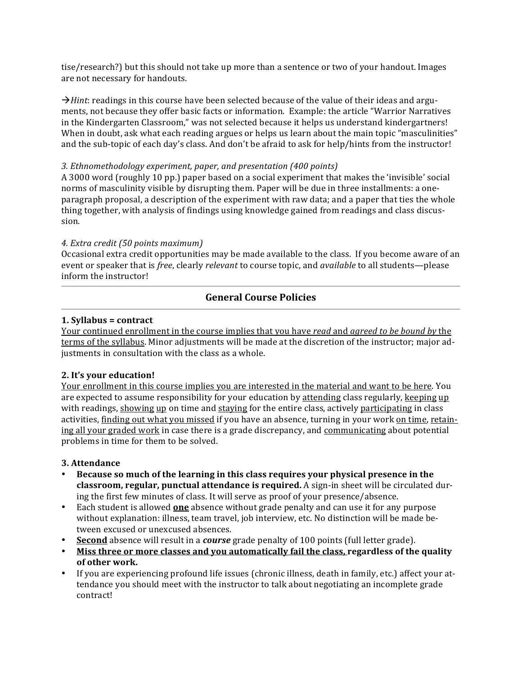tise/research?) but this should not take up more than a sentence or two of your handout. Images are not necessary for handouts.

 $\rightarrow$  Hint: readings in this course have been selected because of the value of their ideas and arguments, not because they offer basic facts or information. Example: the article "Warrior Narratives" in the Kindergarten Classroom," was not selected because it helps us understand kindergartners! When in doubt, ask what each reading argues or helps us learn about the main topic "masculinities" and the sub-topic of each day's class. And don't be afraid to ask for help/hints from the instructor!

## 3. Ethnomethodology experiment, paper, and presentation (400 points)

A 3000 word (roughly 10 pp.) paper based on a social experiment that makes the 'invisible' social norms of masculinity visible by disrupting them. Paper will be due in three installments: a oneparagraph proposal, a description of the experiment with raw data; and a paper that ties the whole thing together, with analysis of findings using knowledge gained from readings and class discussion.

## 4. Extra credit (50 points maximum)

Occasional extra credit opportunities may be made available to the class. If you become aware of an event or speaker that is *free*, clearly *relevant* to course topic, and *available* to all students—please inform the instructor!

## **General Course Policies**

## 1. Syllabus = contract

Your continued enrollment in the course implies that you have read and agreed to be bound by the terms of the syllabus. Minor adjustments will be made at the discretion of the instructor; major adjustments in consultation with the class as a whole.

## 2. It's your education!

Your enrollment in this course implies you are interested in the material and want to be here. You are expected to assume responsibility for your education by attending class regularly, keeping up with readings, showing up on time and staying for the entire class, actively participating in class activities, finding out what you missed if you have an absence, turning in your work on time, retaining all your graded work in case there is a grade discrepancy, and communicating about potential problems in time for them to be solved.

## 3. Attendance

- Because so much of the learning in this class requires your physical presence in the  $\bullet$ classroom, regular, punctual attendance is required. A sign-in sheet will be circulated during the first few minutes of class. It will serve as proof of your presence/absence.
- Each student is allowed **one** absence without grade penalty and can use it for any purpose without explanation: illness, team travel, job interview, etc. No distinction will be made between excused or unexcused absences.
- **Second** absence will result in a *course* grade penalty of 100 points (full letter grade).
- Miss three or more classes and you automatically fail the class, regardless of the quality of other work.
- If you are experiencing profound life issues (chronic illness, death in family, etc.) affect your attendance you should meet with the instructor to talk about negotiating an incomplete grade contract!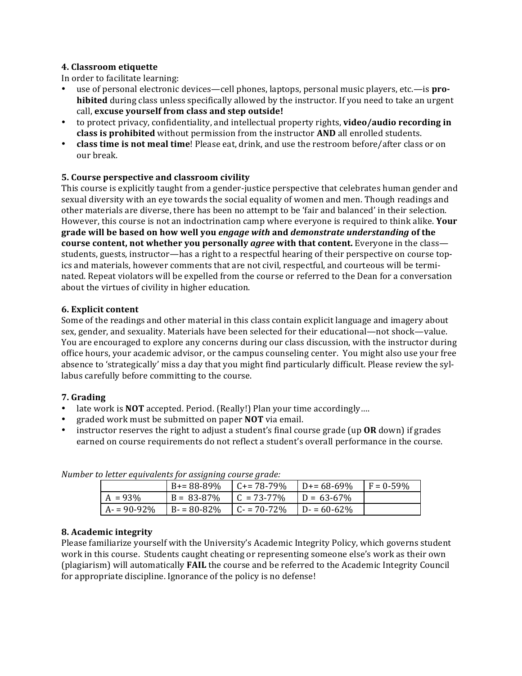## 4. Classroom etiquette

In order to facilitate learning:

- use of personal electronic devices—cell phones, laptops, personal music players, etc.—is prohibited during class unless specifically allowed by the instructor. If you need to take an urgent call, excuse yourself from class and step outside!
- to protect privacy, confidentiality, and intellectual property rights, video/audio recording in class is prohibited without permission from the instructor AND all enrolled students.
- class time is not meal time! Please eat, drink, and use the restroom before/after class or on our break.

## 5. Course perspective and classroom civility

This course is explicitly taught from a gender-justice perspective that celebrates human gender and sexual diversity with an eye towards the social equality of women and men. Though readings and other materials are diverse, there has been no attempt to be 'fair and balanced' in their selection. However, this course is not an indoctrination camp where everyone is required to think alike. Your grade will be based on how well you engage with and demonstrate understanding of the course content, not whether you personally agree with that content. Everyone in the classstudents, guests, instructor—has a right to a respectful hearing of their perspective on course topics and materials, however comments that are not civil, respectful, and courteous will be terminated. Repeat violators will be expelled from the course or referred to the Dean for a conversation about the virtues of civility in higher education.

## 6. Explicit content

Some of the readings and other material in this class contain explicit language and imagery about sex, gender, and sexuality. Materials have been selected for their educational—not shock—value. You are encouraged to explore any concerns during our class discussion, with the instructor during office hours, your academic advisor, or the campus counseling center. You might also use your free absence to 'strategically' miss a day that you might find particularly difficult. Please review the syllabus carefully before committing to the course.

## 7. Grading

- late work is NOT accepted. Period. (Really!) Plan your time accordingly....
- graded work must be submitted on paper NOT via email.
- instructor reserves the right to adjust a student's final course grade (up OR down) if grades earned on course requirements do not reflect a student's overall performance in the course.

| o letter equivalents for assigning course grade. |                 |                     |               |              |  |
|--------------------------------------------------|-----------------|---------------------|---------------|--------------|--|
|                                                  | B+= 88-89%      | $C_{+} = 78 - 79\%$ | $D = 68-69\%$ | $F = 0.59\%$ |  |
| $A = 93\%$                                       | $B = 83 - 87\%$ | $C = 73 - 77\%$     | $D = 63-67\%$ |              |  |
| $A = 90-92%$                                     | $B - 80 - 82\%$ | $C = 70 - 72\%$     | $D = 60-62%$  |              |  |

Number to letter equivalents for assigning course arade-

## 8. Academic integrity

Please familiarize yourself with the University's Academic Integrity Policy, which governs student work in this course. Students caught cheating or representing someone else's work as their own (plagiarism) will automatically **FAIL** the course and be referred to the Academic Integrity Council for appropriate discipline. Ignorance of the policy is no defense!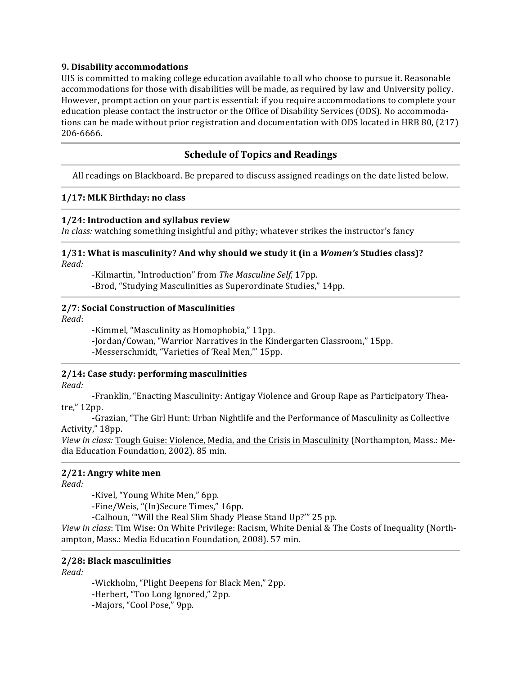## 9. Disability accommodations

UIS is committed to making college education available to all who choose to pursue it. Reasonable accommodations for those with disabilities will be made, as required by law and University policy. However, prompt action on your part is essential: if you require accommodations to complete your education please contact the instructor or the Office of Disability Services (ODS). No accommodations can be made without prior registration and documentation with ODS located in HRB 80, (217) 206-6666.

## **Schedule of Topics and Readings**

All readings on Blackboard. Be prepared to discuss assigned readings on the date listed below.

### 1/17: MLK Birthday: no class

## 1/24: Introduction and syllabus review

In class: watching something insightful and pithy; whatever strikes the instructor's fancy

#### 1/31: What is masculinity? And why should we study it (in a Women's Studies class)? Read:

-Kilmartin, "Introduction" from The Masculine Self, 17pp. -Brod, "Studying Masculinities as Superordinate Studies," 14pp.

### 2/7: Social Construction of Masculinities

Read:

-Kimmel, "Masculinity as Homophobia," 11pp.

-Jordan/Cowan, "Warrior Narratives in the Kindergarten Classroom," 15pp.

-Messerschmidt, "Varieties of 'Real Men," 15pp.

## 2/14: Case study: performing masculinities

Read:

-Franklin, "Enacting Masculinity: Antigay Violence and Group Rape as Participatory Theatre," 12pp.

-Grazian, "The Girl Hunt: Urban Nightlife and the Performance of Masculinity as Collective Activity," 18pp.

View in class: Tough Guise: Violence, Media, and the Crisis in Masculinity (Northampton, Mass.: Media Education Foundation, 2002). 85 min.

## 2/21: Angry white men

Read:

-Kivel, "Young White Men," 6pp.

-Fine/Weis, "(In)Secure Times," 16pp.

-Calhoun, "Will the Real Slim Shady Please Stand Up?" 25 pp.

View in class: Tim Wise: On White Privilege: Racism, White Denial & The Costs of Inequality (Northampton, Mass.: Media Education Foundation, 2008). 57 min.

#### 2/28: Black masculinities

Read:

-Wickholm, "Plight Deepens for Black Men," 2pp. -Herbert, "Too Long Ignored," 2pp. -Majors, "Cool Pose," 9pp.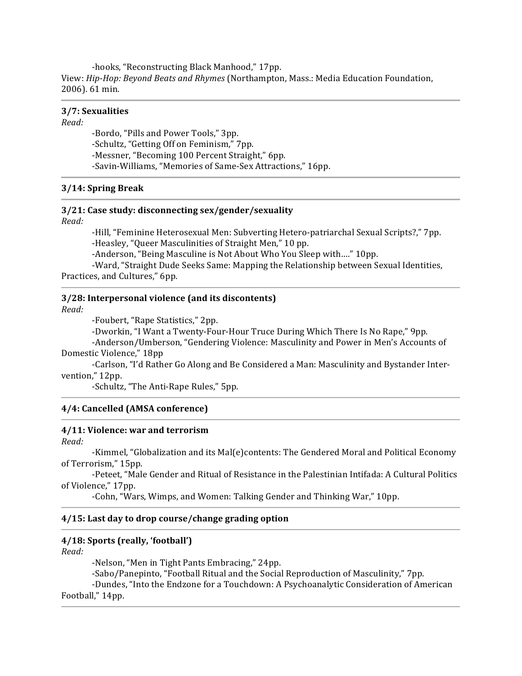-hooks, "Reconstructing Black Manhood," 17pp. View: Hip-Hop: Beyond Beats and Rhymes (Northampton, Mass.: Media Education Foundation, 2006). 61 min.

#### 3/7: Sexualities

#### Read:

-Bordo, "Pills and Power Tools," 3pp. -Schultz, "Getting Off on Feminism," 7pp. -Messner, "Becoming 100 Percent Straight," 6pp. -Savin-Williams, "Memories of Same-Sex Attractions," 16pp.

## 3/14: Spring Break

#### 3/21: Case study: disconnecting sex/gender/sexuality

Read:

-Hill, "Feminine Heterosexual Men: Subverting Hetero-patriarchal Sexual Scripts?," 7pp. -Heasley, "Queer Masculinities of Straight Men," 10 pp.

-Anderson, "Being Masculine is Not About Who You Sleep with...." 10pp.

-Ward, "Straight Dude Seeks Same: Mapping the Relationship between Sexual Identities, Practices, and Cultures," 6pp.

#### 3/28: Interpersonal violence (and its discontents)

Read:

-Foubert, "Rape Statistics," 2pp.

-Dworkin, "I Want a Twenty-Four-Hour Truce During Which There Is No Rape," 9pp.

-Anderson/Umberson, "Gendering Violence: Masculinity and Power in Men's Accounts of Domestic Violence." 18pp

-Carlson, "I'd Rather Go Along and Be Considered a Man: Masculinity and Bystander Intervention," 12pp.

-Schultz, "The Anti-Rape Rules," 5pp.

## 4/4: Cancelled (AMSA conference)

#### 4/11: Violence: war and terrorism

Read:

-Kimmel, "Globalization and its Mal(e)contents: The Gendered Moral and Political Economy of Terrorism," 15pp.

-Peteet, "Male Gender and Ritual of Resistance in the Palestinian Intifada: A Cultural Politics of Violence," 17pp.

-Cohn, "Wars, Wimps, and Women: Talking Gender and Thinking War," 10pp.

#### 4/15: Last day to drop course/change grading option

## 4/18: Sports (really, 'football')

Read:

-Nelson, "Men in Tight Pants Embracing," 24pp. -Sabo/Panepinto, "Football Ritual and the Social Reproduction of Masculinity," 7pp. -Dundes, "Into the Endzone for a Touchdown: A Psychoanalytic Consideration of American Football," 14pp.